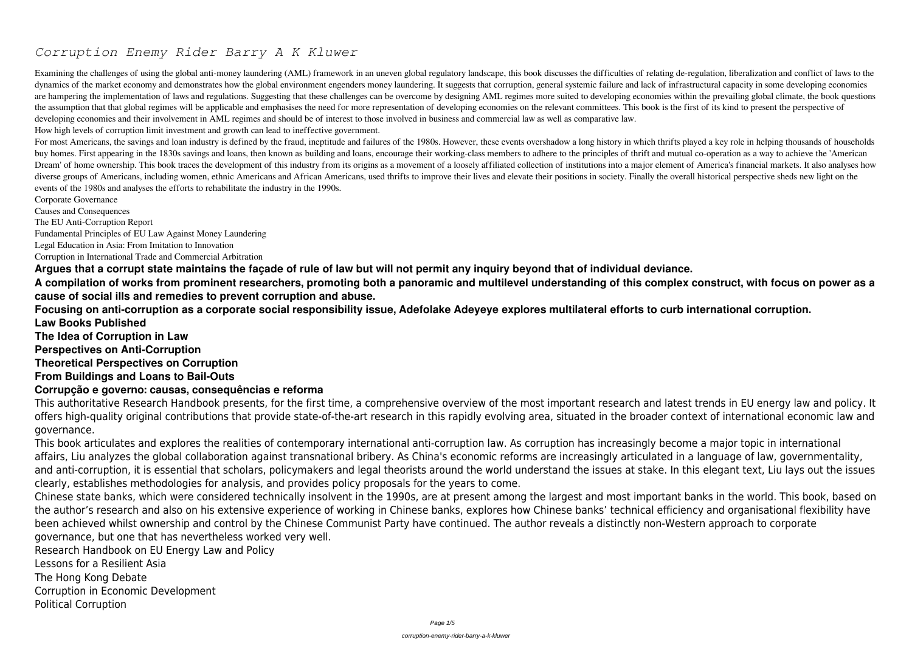# *Corruption Enemy Rider Barry A K Kluwer*

Examining the challenges of using the global anti-money laundering (AML) framework in an uneven global regulatory landscape, this book discusses the difficulties of relating de-regulation, liberalization and conflict of la dynamics of the market economy and demonstrates how the global environment engenders money laundering. It suggests that corruption, general systemic failure and lack of infrastructural capacity in some developing economies are hampering the implementation of laws and regulations. Suggesting that these challenges can be overcome by designing AML regimes more suited to developing economies within the prevailing global climate, the book questio the assumption that that global regimes will be applicable and emphasises the need for more representation of developing economies on the relevant committees. This book is the first of its kind to present the perspective of developing economies and their involvement in AML regimes and should be of interest to those involved in business and commercial law as well as comparative law. How high levels of corruption limit investment and growth can lead to ineffective government.

For most Americans, the savings and loan industry is defined by the fraud, ineptitude and failures of the 1980s. However, these events overshadow a long history in which thrifts played a key role in helping thousands of ho buy homes. First appearing in the 1830s savings and loans, then known as building and loans, encourage their working-class members to adhere to the principles of thrift and mutual co-operation as a way to achieve the 'Amer Dream' of home ownership. This book traces the development of this industry from its origins as a movement of a loosely affiliated collection of institutions into a major element of America's financial markets. It also ana diverse groups of Americans, including women, ethnic Americans and African Americans, used thrifts to improve their lives and elevate their positions in society. Finally the overall historical perspective sheds new light o events of the 1980s and analyses the efforts to rehabilitate the industry in the 1990s.

Corporate Governance

Causes and Consequences

The EU Anti-Corruption Report

Fundamental Principles of EU Law Against Money Laundering

Legal Education in Asia: From Imitation to Innovation

Corruption in International Trade and Commercial Arbitration

**Argues that a corrupt state maintains the façade of rule of law but will not permit any inquiry beyond that of individual deviance. A compilation of works from prominent researchers, promoting both a panoramic and multilevel understanding of this complex construct, with focus on power as a cause of social ills and remedies to prevent corruption and abuse.**

**Focusing on anti-corruption as a corporate social responsibility issue, Adefolake Adeyeye explores multilateral efforts to curb international corruption. Law Books Published**

**The Idea of Corruption in Law**

**Perspectives on Anti-Corruption**

**Theoretical Perspectives on Corruption**

# **From Buildings and Loans to Bail-Outs**

## **Corrupção e governo: causas, consequências e reforma**

This authoritative Research Handbook presents, for the first time, a comprehensive overview of the most important research and latest trends in EU energy law and policy. It offers high-quality original contributions that provide state-of-the-art research in this rapidly evolving area, situated in the broader context of international economic law and governance.

This book articulates and explores the realities of contemporary international anti-corruption law. As corruption has increasingly become a major topic in international affairs, Liu analyzes the global collaboration against transnational bribery. As China's economic reforms are increasingly articulated in a language of law, governmentality, and anti-corruption, it is essential that scholars, policymakers and legal theorists around the world understand the issues at stake. In this elegant text, Liu lays out the issues clearly, establishes methodologies for analysis, and provides policy proposals for the years to come.

Chinese state banks, which were considered technically insolvent in the 1990s, are at present among the largest and most important banks in the world. This book, based on the author's research and also on his extensive experience of working in Chinese banks, explores how Chinese banks' technical efficiency and organisational flexibility have been achieved whilst ownership and control by the Chinese Communist Party have continued. The author reveals a distinctly non-Western approach to corporate governance, but one that has nevertheless worked very well.

Research Handbook on EU Energy Law and Policy

Lessons for a Resilient Asia

The Hong Kong Debate

Corruption in Economic Development

Political Corruption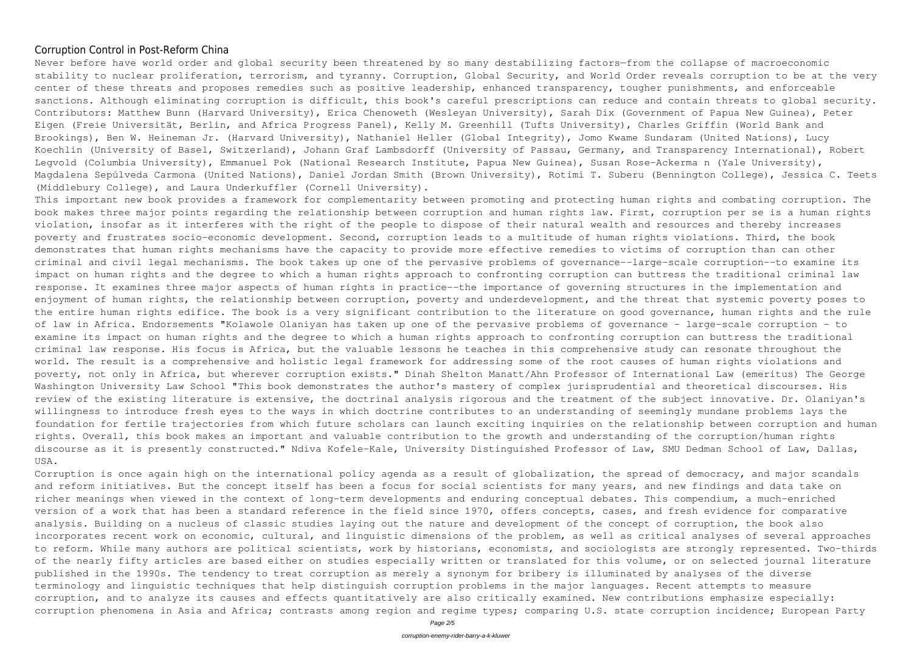### Corruption Control in Post-Reform China

Never before have world order and global security been threatened by so many destabilizing factors—from the collapse of macroeconomic stability to nuclear proliferation, terrorism, and tyranny. Corruption, Global Security, and World Order reveals corruption to be at the very center of these threats and proposes remedies such as positive leadership, enhanced transparency, tougher punishments, and enforceable sanctions. Although eliminating corruption is difficult, this book's careful prescriptions can reduce and contain threats to global security. Contributors: Matthew Bunn (Harvard University), Erica Chenoweth (Wesleyan University), Sarah Dix (Government of Papua New Guinea), Peter Eigen (Freie Universität, Berlin, and Africa Progress Panel), Kelly M. Greenhill (Tufts University), Charles Griffin (World Bank and Brookings), Ben W. Heineman Jr. (Harvard University), Nathaniel Heller (Global Integrity), Jomo Kwame Sundaram (United Nations), Lucy Koechlin (University of Basel, Switzerland), Johann Graf Lambsdorff (University of Passau, Germany, and Transparency International), Robert Legvold (Columbia University), Emmanuel Pok (National Research Institute, Papua New Guinea), Susan Rose-Ackerma n (Yale University), Magdalena Sepúlveda Carmona (United Nations), Daniel Jordan Smith (Brown University), Rotimi T. Suberu (Bennington College), Jessica C. Teets (Middlebury College), and Laura Underkuffler (Cornell University).

This important new book provides a framework for complementarity between promoting and protecting human rights and combating corruption. The book makes three major points regarding the relationship between corruption and human rights law. First, corruption per se is a human rights violation, insofar as it interferes with the right of the people to dispose of their natural wealth and resources and thereby increases poverty and frustrates socio-economic development. Second, corruption leads to a multitude of human rights violations. Third, the book demonstrates that human rights mechanisms have the capacity to provide more effective remedies to victims of corruption than can other criminal and civil legal mechanisms. The book takes up one of the pervasive problems of governance--large-scale corruption--to examine its impact on human rights and the degree to which a human rights approach to confronting corruption can buttress the traditional criminal law response. It examines three major aspects of human rights in practice--the importance of governing structures in the implementation and enjoyment of human rights, the relationship between corruption, poverty and underdevelopment, and the threat that systemic poverty poses to the entire human rights edifice. The book is a very significant contribution to the literature on good governance, human rights and the rule of law in Africa. Endorsements "Kolawole Olaniyan has taken up one of the pervasive problems of governance - large-scale corruption - to examine its impact on human rights and the degree to which a human rights approach to confronting corruption can buttress the traditional criminal law response. His focus is Africa, but the valuable lessons he teaches in this comprehensive study can resonate throughout the world. The result is a comprehensive and holistic legal framework for addressing some of the root causes of human rights violations and poverty, not only in Africa, but wherever corruption exists." Dinah Shelton Manatt/Ahn Professor of International Law (emeritus) The George Washington University Law School "This book demonstrates the author's mastery of complex jurisprudential and theoretical discourses. His review of the existing literature is extensive, the doctrinal analysis rigorous and the treatment of the subject innovative. Dr. Olaniyan's willingness to introduce fresh eyes to the ways in which doctrine contributes to an understanding of seemingly mundane problems lays the foundation for fertile trajectories from which future scholars can launch exciting inquiries on the relationship between corruption and human rights. Overall, this book makes an important and valuable contribution to the growth and understanding of the corruption/human rights discourse as it is presently constructed." Ndiva Kofele-Kale, University Distinguished Professor of Law, SMU Dedman School of Law, Dallas, USA.

Corruption is once again high on the international policy agenda as a result of globalization, the spread of democracy, and major scandals and reform initiatives. But the concept itself has been a focus for social scientists for many years, and new findings and data take on richer meanings when viewed in the context of long-term developments and enduring conceptual debates. This compendium, a much-enriched version of a work that has been a standard reference in the field since 1970, offers concepts, cases, and fresh evidence for comparative analysis. Building on a nucleus of classic studies laying out the nature and development of the concept of corruption, the book also incorporates recent work on economic, cultural, and linguistic dimensions of the problem, as well as critical analyses of several approaches to reform. While many authors are political scientists, work by historians, economists, and sociologists are strongly represented. Two-thirds of the nearly fifty articles are based either on studies especially written or translated for this volume, or on selected journal literature published in the 1990s. The tendency to treat corruption as merely a synonym for bribery is illuminated by analyses of the diverse terminology and linguistic techniques that help distinguish corruption problems in the major languages. Recent attempts to measure corruption, and to analyze its causes and effects quantitatively are also critically examined. New contributions emphasize especially: corruption phenomena in Asia and Africa; contrasts among region and regime types; comparing U.S. state corruption incidence; European Party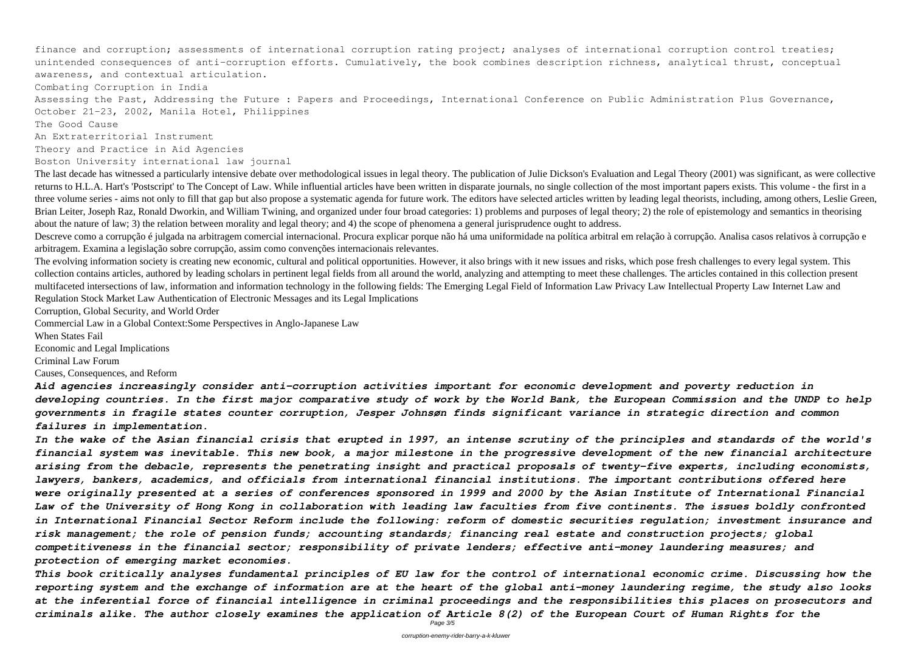finance and corruption; assessments of international corruption rating project; analyses of international corruption control treaties; unintended consequences of anti-corruption efforts. Cumulatively, the book combines description richness, analytical thrust, conceptual awareness, and contextual articulation.

Assessing the Past, Addressing the Future: Papers and Proceedings, International Conference on Public Administration Plus Governance, October 21-23, 2002, Manila Hotel, Philippines

Combating Corruption in India

The Good Cause

An Extraterritorial Instrument

Theory and Practice in Aid Agencies

### Boston University international law journal

Descreve como a corrupção é julgada na arbitragem comercial internacional. Procura explicar porque não há uma uniformidade na política arbitral em relação à corrupção. Analisa casos relativos à corrupção e arbitragem. Examina a legislação sobre corrupção, assim como convenções internacionais relevantes.

The last decade has witnessed a particularly intensive debate over methodological issues in legal theory. The publication of Julie Dickson's Evaluation and Legal Theory (2001) was significant, as were collective returns to H.L.A. Hart's 'Postscript' to The Concept of Law. While influential articles have been written in disparate journals, no single collection of the most important papers exists. This volume - the first in a three volume series - aims not only to fill that gap but also propose a systematic agenda for future work. The editors have selected articles written by leading legal theorists, including, among others, Leslie Green, Brian Leiter, Joseph Raz, Ronald Dworkin, and William Twining, and organized under four broad categories: 1) problems and purposes of legal theory; 2) the role of epistemology and semantics in theorising about the nature of law; 3) the relation between morality and legal theory; and 4) the scope of phenomena a general jurisprudence ought to address.

The evolving information society is creating new economic, cultural and political opportunities. However, it also brings with it new issues and risks, which pose fresh challenges to every legal system. This collection contains articles, authored by leading scholars in pertinent legal fields from all around the world, analyzing and attempting to meet these challenges. The articles contained in this collection present multifaceted intersections of law, information and information technology in the following fields: The Emerging Legal Field of Information Law Privacy Law Intellectual Property Law Internet Law and Regulation Stock Market Law Authentication of Electronic Messages and its Legal Implications

Corruption, Global Security, and World Order

Commercial Law in a Global Context:Some Perspectives in Anglo-Japanese Law

When States Fail

Economic and Legal Implications

Criminal Law Forum

Causes, Consequences, and Reform

*Aid agencies increasingly consider anti-corruption activities important for economic development and poverty reduction in developing countries. In the first major comparative study of work by the World Bank, the European Commission and the UNDP to help governments in fragile states counter corruption, Jesper Johnsøn finds significant variance in strategic direction and common failures in implementation.*

*In the wake of the Asian financial crisis that erupted in 1997, an intense scrutiny of the principles and standards of the world's financial system was inevitable. This new book, a major milestone in the progressive development of the new financial architecture arising from the debacle, represents the penetrating insight and practical proposals of twenty-five experts, including economists, lawyers, bankers, academics, and officials from international financial institutions. The important contributions offered here were originally presented at a series of conferences sponsored in 1999 and 2000 by the Asian Institute of International Financial Law of the University of Hong Kong in collaboration with leading law faculties from five continents. The issues boldly confronted in International Financial Sector Reform include the following: reform of domestic securities regulation; investment insurance and risk management; the role of pension funds; accounting standards; financing real estate and construction projects; global competitiveness in the financial sector; responsibility of private lenders; effective anti-money laundering measures; and protection of emerging market economies.*

*This book critically analyses fundamental principles of EU law for the control of international economic crime. Discussing how the reporting system and the exchange of information are at the heart of the global anti-money laundering regime, the study also looks at the inferential force of financial intelligence in criminal proceedings and the responsibilities this places on prosecutors and criminals alike. The author closely examines the application of Article 8(2) of the European Court of Human Rights for the*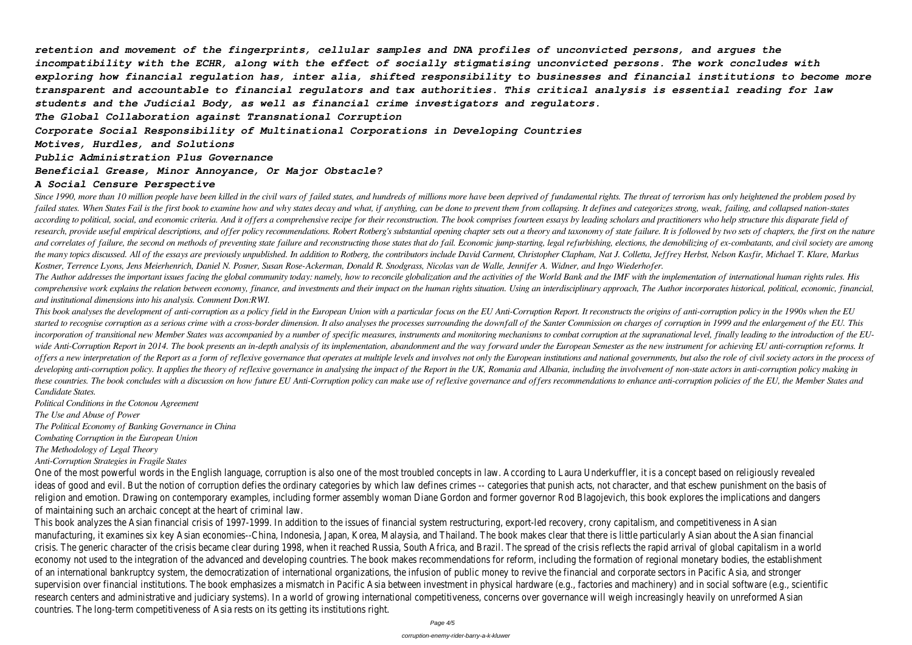*retention and movement of the fingerprints, cellular samples and DNA profiles of unconvicted persons, and argues the incompatibility with the ECHR, along with the effect of socially stigmatising unconvicted persons. The work concludes with exploring how financial regulation has, inter alia, shifted responsibility to businesses and financial institutions to become more transparent and accountable to financial regulators and tax authorities. This critical analysis is essential reading for law students and the Judicial Body, as well as financial crime investigators and regulators.*

*The Global Collaboration against Transnational Corruption*

*Corporate Social Responsibility of Multinational Corporations in Developing Countries*

*Motives, Hurdles, and Solutions*

*Public Administration Plus Governance*

*Beneficial Grease, Minor Annoyance, Or Major Obstacle?*

### *A Social Censure Perspective*

Since 1990, more than 10 million people have been killed in the civil wars of failed states, and hundreds of millions more have been deprived of fundamental rights. The threat of terrorism has only heightened the problem p failed states. When States Fail is the first book to examine how and why states decay and what, if anything, can be done to prevent them from collapsing. It defines and categorizes strong, weak, failing, and collapsed nati according to political, social, and economic criteria. And it offers a comprehensive recipe for their reconstruction. The book comprises fourteen essays by leading scholars and practitioners who help structure this dispara research, provide useful empirical descriptions, and offer policy recommendations. Robert Rotberg's substantial opening chapter sets out a theory and taxonomy of state failure. It is followed by two sets of chapters, the f and correlates of failure, the second on methods of preventing state failure and reconstructing those states that do fail. Economic jump-starting, legal refurbishing, elections, the demobilizing of ex-combatants, and civil the many topics discussed. All of the essays are previously unpublished. In addition to Rotberg, the contributors include David Carment, Christopher Clapham, Nat J. Colletta, Jeffrey Herbst, Nelson Kasfir, Michael T. Klare *Kostner, Terrence Lyons, Jens Meierhenrich, Daniel N. Posner, Susan Rose-Ackerman, Donald R. Snodgrass, Nicolas van de Walle, Jennifer A. Widner, and Ingo Wiederhofer.* The Author addresses the important issues facing the global community today: namely, how to reconcile globalization and the activities of the World Bank and the IMF with the implementation of international human rights rul comprehensive work explains the relation between economy, finance, and investments and their impact on the human rights situation. Using an interdisciplinary approach, The Author incorporates historical, political, economi *and institutional dimensions into his analysis. Comment Don:RWI.*

This book analyses the development of anti-corruption as a policy field in the European Union with a particular focus on the EU Anti-Corruption Report. It reconstructs the origins of anti-corruption policy in the 1990s whe started to recognise corruption as a serious crime with a cross-border dimension. It also analyses the processes surrounding the downfall of the Santer Commission on charges of corruption in 1999 and the enlargement of the incorporation of transitional new Member States was accompanied by a number of specific measures, instruments and monitoring mechanisms to combat corruption at the supranational level, finally leading to the introduction o wide Anti-Corruption Report in 2014. The book presents an in-depth analysis of its implementation, abandonment and the way forward under the European Semester as the new instrument for achieving EU anti-corruption reforms. offers a new interpretation of the Report as a form of reflexive governance that operates at multiple levels and involves not only the European institutions and national governments, but also the role of civil society acto developing anti-corruption policy. It applies the theory of reflexive governance in analysing the impact of the Report in the UK, Romania and Albania, including the involvement of non-state actors in anti-corruption policy these countries. The book concludes with a discussion on how future EU Anti-Corruption policy can make use of reflexive governance and offers recommendations to enhance anti-corruption policies of the EU, the Member States *Candidate States.*

One of the most powerful words in the English language, corruption is also one of the most troubled concepts in law. According to Laura Underkuffler, it is a concept based on religiously revealed ideas of good and evil. But the notion of corruption defies the ordinary categories by which law defines crimes -- categories that punish acts, not character, and that eschew punishment on the basis of religion and emotion. Drawing on contemporary examples, including former assembly woman Diane Gordon and former governor Rod Blagojevich, this book explores the implications and dangers of maintaining such an archaic concept at the heart of criminal law.

*Political Conditions in the Cotonou Agreement*

*The Use and Abuse of Power*

*The Political Economy of Banking Governance in China*

*Combating Corruption in the European Union*

*The Methodology of Legal Theory*

*Anti-Corruption Strategies in Fragile States*

This book analyzes the Asian financial crisis of 1997-1999. In addition to the issues of financial system restructuring, export-led recovery, crony capitalism, and competitiveness in Asian manufacturing, it examines six key Asian economies--China, Indonesia, Japan, Korea, Malaysia, and Thailand. The book makes clear that there is little particularly Asian about the Asian financial crisis. The generic character of the crisis became clear during 1998, when it reached Russia, South Africa, and Brazil. The spread of the crisis reflects the rapid arrival of global capitalism in a world economy not used to the integration of the advanced and developing countries. The book makes recommendations for reform, including the formation of regional monetary bodies, the establishment of an international bankruptcy system, the democratization of international organizations, the infusion of public money to revive the financial and corporate sectors in Pacific Asia, and stronger supervision over financial institutions. The book emphasizes a mismatch in Pacific Asia between investment in physical hardware (e.g., factories and machinery) and in social software (e.g., scientific research centers and administrative and judiciary systems). In a world of growing international competitiveness, concerns over governance will weigh increasingly heavily on unreformed Asian countries. The long-term competitiveness of Asia rests on its getting its institutions right.